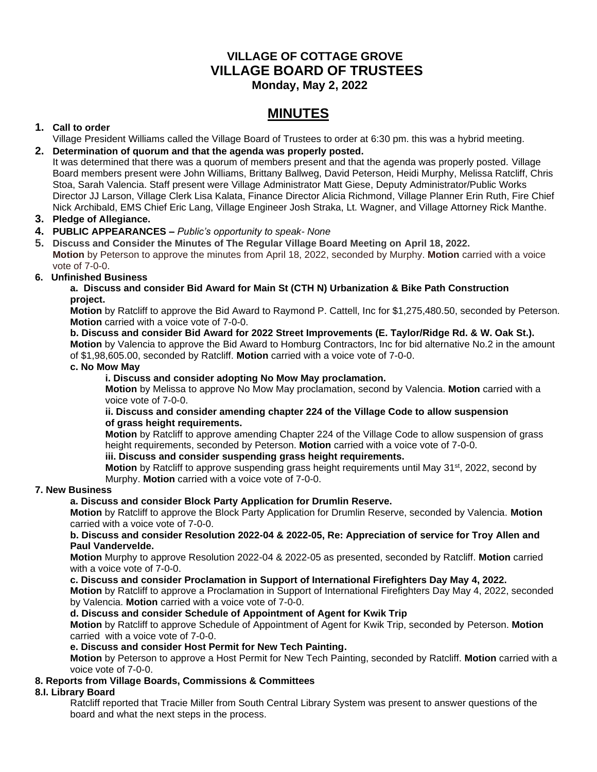# **VILLAGE OF COTTAGE GROVE VILLAGE BOARD OF TRUSTEES Monday, May 2, 2022**

# **MINUTES**

# **1. Call to order**

Village President Williams called the Village Board of Trustees to order at 6:30 pm. this was a hybrid meeting.

## **2. Determination of quorum and that the agenda was properly posted.**

It was determined that there was a quorum of members present and that the agenda was properly posted. Village Board members present were John Williams, Brittany Ballweg, David Peterson, Heidi Murphy, Melissa Ratcliff, Chris Stoa, Sarah Valencia. Staff present were Village Administrator Matt Giese, Deputy Administrator/Public Works Director JJ Larson, Village Clerk Lisa Kalata, Finance Director Alicia Richmond, Village Planner Erin Ruth, Fire Chief Nick Archibald, EMS Chief Eric Lang, Village Engineer Josh Straka, Lt. Wagner, and Village Attorney Rick Manthe.

## **3. Pledge of Allegiance.**

## **4. PUBLIC APPEARANCES –** *Public's opportunity to speak- None*

**5. Discuss and Consider the Minutes of The Regular Village Board Meeting on April 18, 2022. Motion** by Peterson to approve the minutes from April 18, 2022, seconded by Murphy. **Motion** carried with a voice vote of 7-0-0.

## **6. Unfinished Business**

#### **a. Discuss and consider Bid Award for Main St (CTH N) Urbanization & Bike Path Construction project.**

**Motion** by Ratcliff to approve the Bid Award to Raymond P. Cattell, Inc for \$1,275,480.50, seconded by Peterson. **Motion** carried with a voice vote of 7-0-0.

#### **b. Discuss and consider Bid Award for 2022 Street Improvements (E. Taylor/Ridge Rd. & W. Oak St.). Motion** by Valencia to approve the Bid Award to Homburg Contractors, Inc for bid alternative No.2 in the amount of \$1,98,605.00, seconded by Ratcliff. **Motion** carried with a voice vote of 7-0-0.

## **c. No Mow May**

## **i. Discuss and consider adopting No Mow May proclamation.**

**Motion** by Melissa to approve No Mow May proclamation, second by Valencia. **Motion** carried with a voice vote of 7-0-0.

#### **ii. Discuss and consider amending chapter 224 of the Village Code to allow suspension of grass height requirements.**

**Motion** by Ratcliff to approve amending Chapter 224 of the Village Code to allow suspension of grass height requirements, seconded by Peterson. **Motion** carried with a voice vote of 7-0-0.

## **iii. Discuss and consider suspending grass height requirements.**

**Motion** by Ratcliff to approve suspending grass height requirements until May 31<sup>st</sup>, 2022, second by Murphy. **Motion** carried with a voice vote of 7-0-0.

## **7. New Business**

## **a. Discuss and consider Block Party Application for Drumlin Reserve.**

**Motion** by Ratcliff to approve the Block Party Application for Drumlin Reserve, seconded by Valencia. **Motion** carried with a voice vote of 7-0-0.

#### **b. Discuss and consider Resolution 2022-04 & 2022-05, Re: Appreciation of service for Troy Allen and Paul Vandervelde.**

**Motion** Murphy to approve Resolution 2022-04 & 2022-05 as presented, seconded by Ratcliff. **Motion** carried with a voice vote of 7-0-0.

#### **c. Discuss and consider Proclamation in Support of International Firefighters Day May 4, 2022.**

**Motion** by Ratcliff to approve a Proclamation in Support of International Firefighters Day May 4, 2022, seconded by Valencia. **Motion** carried with a voice vote of 7-0-0.

## **d. Discuss and consider Schedule of Appointment of Agent for Kwik Trip**

**Motion** by Ratcliff to approve Schedule of Appointment of Agent for Kwik Trip, seconded by Peterson. **Motion**  carried with a voice vote of 7-0-0.

#### **e. Discuss and consider Host Permit for New Tech Painting.**

**Motion** by Peterson to approve a Host Permit for New Tech Painting, seconded by Ratcliff. **Motion** carried with a voice vote of 7-0-0.

## **8. Reports from Village Boards, Commissions & Committees**

## **8.I. Library Board**

Ratcliff reported that Tracie Miller from South Central Library System was present to answer questions of the board and what the next steps in the process.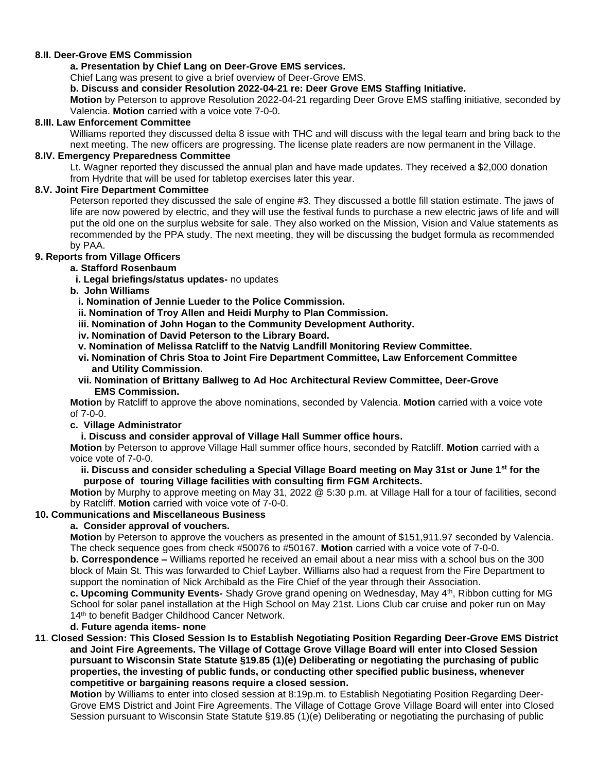#### **8.II. Deer-Grove EMS Commission**

#### **a. Presentation by Chief Lang on Deer-Grove EMS services.**

Chief Lang was present to give a brief overview of Deer-Grove EMS.

**b. Discuss and consider Resolution 2022-04-21 re: Deer Grove EMS Staffing Initiative.**

**Motion** by Peterson to approve Resolution 2022-04-21 regarding Deer Grove EMS staffing initiative, seconded by Valencia. **Motion** carried with a voice vote 7-0-0.

#### **8.III. Law Enforcement Committee**

Williams reported they discussed delta 8 issue with THC and will discuss with the legal team and bring back to the next meeting. The new officers are progressing. The license plate readers are now permanent in the Village.

#### **8.IV. Emergency Preparedness Committee**

Lt. Wagner reported they discussed the annual plan and have made updates. They received a \$2,000 donation from Hydrite that will be used for tabletop exercises later this year.

#### **8.V. Joint Fire Department Committee**

Peterson reported they discussed the sale of engine #3. They discussed a bottle fill station estimate. The jaws of life are now powered by electric, and they will use the festival funds to purchase a new electric jaws of life and will put the old one on the surplus website for sale. They also worked on the Mission, Vision and Value statements as recommended by the PPA study. The next meeting, they will be discussing the budget formula as recommended by PAA.

# **9. Reports from Village Officers**

## **a. Stafford Rosenbaum**

- **i. Legal briefings/status updates-** no updates
- **b. John Williams**
	- **i. Nomination of Jennie Lueder to the Police Commission.**
	- **ii. Nomination of Troy Allen and Heidi Murphy to Plan Commission.**
	- **iii. Nomination of John Hogan to the Community Development Authority.**
	- **iv. Nomination of David Peterson to the Library Board.**
	- **v. Nomination of Melissa Ratcliff to the Natvig Landfill Monitoring Review Committee.**
	- **vi. Nomination of Chris Stoa to Joint Fire Department Committee, Law Enforcement Committee and Utility Commission.**
	- **vii. Nomination of Brittany Ballweg to Ad Hoc Architectural Review Committee, Deer-Grove EMS Commission.**

**Motion** by Ratcliff to approve the above nominations, seconded by Valencia. **Motion** carried with a voice vote of 7-0-0.

#### **c. Village Administrator**

#### **i. Discuss and consider approval of Village Hall Summer office hours.**

**Motion** by Peterson to approve Village Hall summer office hours, seconded by Ratcliff. **Motion** carried with a voice vote of 7-0-0.

#### **ii. Discuss and consider scheduling a Special Village Board meeting on May 31st or June 1st for the purpose of touring Village facilities with consulting firm FGM Architects.**

**Motion** by Murphy to approve meeting on May 31, 2022 @ 5:30 p.m. at Village Hall for a tour of facilities, second by Ratcliff. **Motion** carried with voice vote of 7-0-0.

## **10. Communications and Miscellaneous Business**

## **a. Consider approval of vouchers.**

**Motion** by Peterson to approve the vouchers as presented in the amount of \$151,911.97 seconded by Valencia. The check sequence goes from check #50076 to #50167. **Motion** carried with a voice vote of 7-0-0.

**b. Correspondence –** Williams reported he received an email about a near miss with a school bus on the 300 block of Main St. This was forwarded to Chief Layber. Williams also had a request from the Fire Department to support the nomination of Nick Archibald as the Fire Chief of the year through their Association.

**c. Upcoming Community Events-** Shady Grove grand opening on Wednesday, May 4th, Ribbon cutting for MG School for solar panel installation at the High School on May 21st. Lions Club car cruise and poker run on May 14<sup>th</sup> to benefit Badger Childhood Cancer Network.

# **d. Future agenda items- none**

**11**. **Closed Session: This Closed Session Is to Establish Negotiating Position Regarding Deer-Grove EMS District and Joint Fire Agreements. The Village of Cottage Grove Village Board will enter into Closed Session pursuant to Wisconsin State Statute §19.85 (1)(e) Deliberating or negotiating the purchasing of public properties, the investing of public funds, or conducting other specified public business, whenever competitive or bargaining reasons require a closed session.**

**Motion** by Williams to enter into closed session at 8:19p.m. to Establish Negotiating Position Regarding Deer-Grove EMS District and Joint Fire Agreements. The Village of Cottage Grove Village Board will enter into Closed Session pursuant to Wisconsin State Statute §19.85 (1)(e) Deliberating or negotiating the purchasing of public